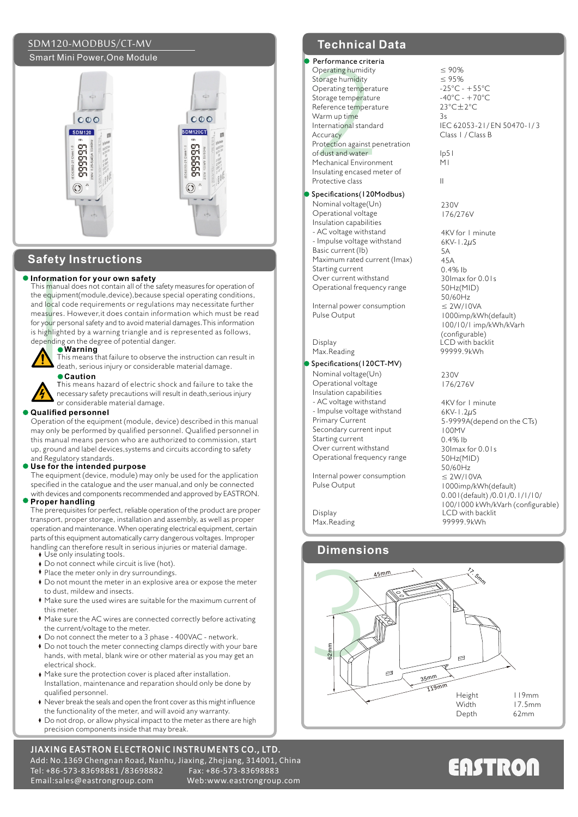# SDM120-MODBUS/CT-MV **Technical Data** Smart Mini Power,One Module



# **Safety Instructions**

**Information for your own safety**<br>
This manual does not contain all of the safety measures for operation of<br>
the equipment(module, device), because special operating conditions<br>
and local code requirements or regulations m the equipment(module,device),because special operating conditions, and local code requirements or regulations may necessitate further measures. However,it does contain information which must be read for your personal safety and to avoid material damages.This information is highlighted by a warning triangle and is represented as follows, depending on the degree of potential danger.



# **Warning**

This means that failure to observe the instruction can result in death, serious injury or considerable material damage. **Caution**

This means hazard of electric shock and failure to take the necessary safety precautions will result in death,serious injury or considerable material damage.

#### **Qualified personnel**

Operation of the equipment (module, device) described in this manual may only be performed by qualified personnel. Qualified personnel in this manual means person who are authorized to commission, start up, ground and label devices,systems and circuits according to safety and Regulatory standards.

#### **Use for the intended purpose**

The equipment (device, module) may only be used for the application specified in the catalogue and the user manual, and only be connected with devices and components recommended and approved by EASTRON.

### **Proper handling**

The prerequisites for perfect, reliable operation of the product are proper transport, proper storage, installation and assembly, as well as proper operation and maintenance. When operating electrical equipment, certain parts of this equipment automatically carry dangerous voltages. Improper handling can therefore result in serious injuries or material damage.

- Use only insulating tools.
- ◆ Do not connect while circuit is live (hot).
- Place the meter only in dry surroundings.
- Do not mount the meter in an explosive area or expose the meter to dust, mildew and insects.
- Make sure the used wires are suitable for the maximum current of this meter.
- Make sure the AC wires are connected correctly before activating the current/voltage to the meter.
- Do not connect the meter to a 3 phase 400VAC network.
- Do not touch the meter connecting clamps directly with your bare hands, with metal, blank wire or other material as you may get an electrical shock.
- Make sure the protection cover is placed after installation. Installation, maintenance and reparation should only be done by qualified personnel.
- $\blacklozenge$  Never break the seals and open the front cover as this might influence the functionality of the meter, and will avoid any warranty.
- Do not drop, or allow physical impact to the meter as there are high precision components inside that may break.

## JIAXING EASTRON ELECTRONIC INSTRUMENTS CO., LTD. Add: No.1369 Chengnan Road, Nanhu, Jiaxing, Zhejiang, 314001, China Tel: +86-573-83698881 /83698882 Email:sales@eastrongroup.com Web:www.eastrongroup.com

#### Performance criteria Operating humidity

Periormance crite<br>Operating humidity<br>Storage humidity<br>Operating temperatur<br>Reference temperatur<br>Mermup time<br>International standard<br>Accuracy<br>Protection against p<br>Mechanical Environ<br>Insulating encased n<br>Protective class Storage humidity Operating temperature Storage temperature Reference temperature Warm up time International standard **Accuracy** Protection against penetration of dust and water Mechanical Environment Insulating encased meter of Protective class

### Specifications (120Modbus)

Nominal voltage(Un) Operational voltage Insulation capabilities - AC voltage withstand - Impulse voltage withstand Basic current (Ib) Maximum rated current (Imax) Starting current Over current withstand Operational frequency range

Internal power consumption Pulse Output

Max.Reading

## Specifications (120CT-MV)

- Nominal voltage(Un)
- Operational voltage Insulation capabilities
- AC voltage withstand
- Impulse voltage withstand
- Primary Current
- Secondary current input
- Starting current
- Over current withstand Operational frequency range

Internal power consumption Pulse Output

Max.Reading

l

# **Dimensions**



# **ENSTRON**



II 230V 176/276V 4KV for 1 minute 6KV-1.2µS 5A 45A 0.4% Ib 30Imax for 0.01s 50Hz(MID)

IEC 62053-21/ EN 50470-1/ 3

Class 1 / Class B

 $< 90%$ ≤ 95% -25°C - +55°C  $-40^{\circ}$ C -  $+70^{\circ}$ C 23°C±2°C 3s

 $\overline{1}$ M1

Display LCD with backlit<br>
Max Reading Communication of the Samuel Server of the Server of the Server of the Server of the Server of the<br>
Display Communication of the Server of the Server of the Server of the Server of the 50/60Hz ≤ 2W/10VA 1000imp/kWh(default) 100/10/1 imp/kWh/kVarh (configurable)

> 230V 176/276V

Display LCD with backlit<br>
May Reading and the summer served of the served of the served of the served of the served of the served of the served of the served of the served of the served of the served of the served of the s 4KV for 1 minute 6KV-1.2µS 5-9999A(depend on the CTs) 100MV  $0.4%$  lb 30Imax for 0.01s 50Hz(MID) 50/60Hz ≤ 2W/10VA 1000imp/kWh(default) 0.001(default) /0.01/0.1/1/10/ 100/1000 kWh/kVarh (configurable)